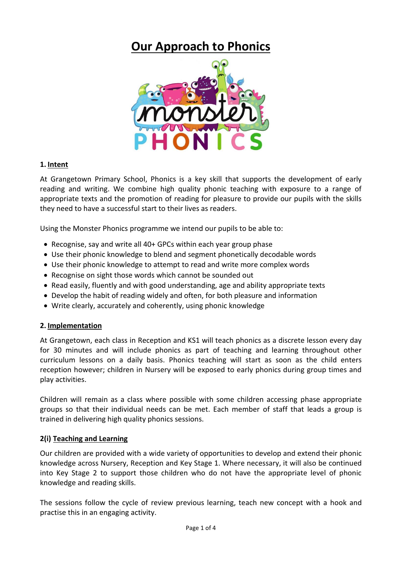# **Our Approach to Phonics**



#### **1. Intent**

At Grangetown Primary School, Phonics is a key skill that supports the development of early reading and writing. We combine high quality phonic teaching with exposure to a range of appropriate texts and the promotion of reading for pleasure to provide our pupils with the skills they need to have a successful start to their lives as readers.

Using the Monster Phonics programme we intend our pupils to be able to:

- Recognise, say and write all 40+ GPCs within each year group phase
- Use their phonic knowledge to blend and segment phonetically decodable words
- Use their phonic knowledge to attempt to read and write more complex words
- Recognise on sight those words which cannot be sounded out
- Read easily, fluently and with good understanding, age and ability appropriate texts
- Develop the habit of reading widely and often, for both pleasure and information
- Write clearly, accurately and coherently, using phonic knowledge

#### **2. Implementation**

At Grangetown, each class in Reception and KS1 will teach phonics as a discrete lesson every day for 30 minutes and will include phonics as part of teaching and learning throughout other curriculum lessons on a daily basis. Phonics teaching will start as soon as the child enters reception however; children in Nursery will be exposed to early phonics during group times and play activities.

Children will remain as a class where possible with some children accessing phase appropriate groups so that their individual needs can be met. Each member of staff that leads a group is trained in delivering high quality phonics sessions.

#### **2(i) Teaching and Learning**

Our children are provided with a wide variety of opportunities to develop and extend their phonic knowledge across Nursery, Reception and Key Stage 1. Where necessary, it will also be continued into Key Stage 2 to support those children who do not have the appropriate level of phonic knowledge and reading skills.

The sessions follow the cycle of review previous learning, teach new concept with a hook and practise this in an engaging activity.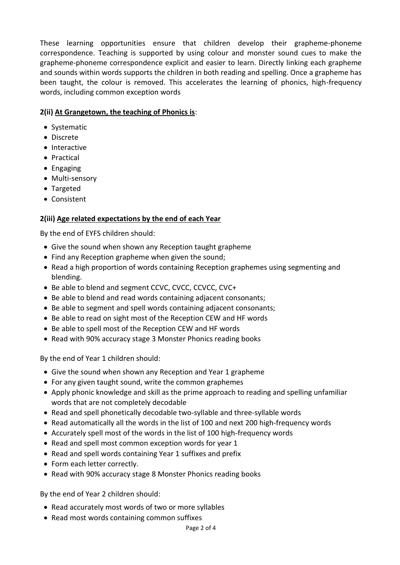These learning opportunities ensure that children develop their grapheme-phoneme correspondence. Teaching is supported by using colour and monster sound cues to make the grapheme-phoneme correspondence explicit and easier to learn. Directly linking each grapheme and sounds within words supports the children in both reading and spelling. Once a grapheme has been taught, the colour is removed. This accelerates the learning of phonics, high-frequency words, including common exception words

# **2(ii) At Grangetown, the teaching of Phonics is**:

- Systematic
- Discrete
- Interactive
- Practical
- Engaging
- Multi-sensory
- Targeted
- Consistent

## **2(iii) Age related expectations by the end of each Year**

By the end of EYFS children should:

- Give the sound when shown any Reception taught grapheme
- Find any Reception grapheme when given the sound;
- Read a high proportion of words containing Reception graphemes using segmenting and blending.
- Be able to blend and segment CCVC, CVCC, CCVCC, CVC+
- Be able to blend and read words containing adjacent consonants;
- Be able to segment and spell words containing adjacent consonants;
- Be able to read on sight most of the Reception CEW and HF words
- Be able to spell most of the Reception CEW and HF words
- Read with 90% accuracy stage 3 Monster Phonics reading books

By the end of Year 1 children should:

- Give the sound when shown any Reception and Year 1 grapheme
- For any given taught sound, write the common graphemes
- Apply phonic knowledge and skill as the prime approach to reading and spelling unfamiliar words that are not completely decodable
- Read and spell phonetically decodable two-syllable and three-syllable words
- Read automatically all the words in the list of 100 and next 200 high-frequency words
- Accurately spell most of the words in the list of 100 high-frequency words
- Read and spell most common exception words for year 1
- Read and spell words containing Year 1 suffixes and prefix
- Form each letter correctly.
- Read with 90% accuracy stage 8 Monster Phonics reading books

By the end of Year 2 children should:

- Read accurately most words of two or more syllables
- Read most words containing common suffixes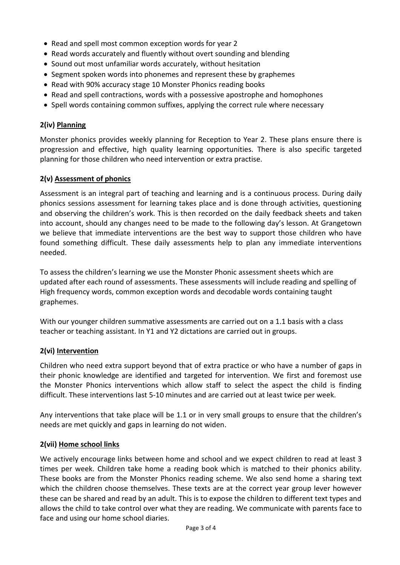- Read and spell most common exception words for year 2
- Read words accurately and fluently without overt sounding and blending
- Sound out most unfamiliar words accurately, without hesitation
- Segment spoken words into phonemes and represent these by graphemes
- Read with 90% accuracy stage 10 Monster Phonics reading books
- Read and spell contractions, words with a possessive apostrophe and homophones
- Spell words containing common suffixes, applying the correct rule where necessary

## **2(iv) Planning**

Monster phonics provides weekly planning for Reception to Year 2. These plans ensure there is progression and effective, high quality learning opportunities. There is also specific targeted planning for those children who need intervention or extra practise.

## **2(v) Assessment of phonics**

Assessment is an integral part of teaching and learning and is a continuous process. During daily phonics sessions assessment for learning takes place and is done through activities, questioning and observing the children's work. This is then recorded on the daily feedback sheets and taken into account, should any changes need to be made to the following day's lesson. At Grangetown we believe that immediate interventions are the best way to support those children who have found something difficult. These daily assessments help to plan any immediate interventions needed.

To assess the children's learning we use the Monster Phonic assessment sheets which are updated after each round of assessments. These assessments will include reading and spelling of High frequency words, common exception words and decodable words containing taught graphemes.

With our younger children summative assessments are carried out on a 1.1 basis with a class teacher or teaching assistant. In Y1 and Y2 dictations are carried out in groups.

## **2(vi) Intervention**

Children who need extra support beyond that of extra practice or who have a number of gaps in their phonic knowledge are identified and targeted for intervention. We first and foremost use the Monster Phonics interventions which allow staff to select the aspect the child is finding difficult. These interventions last 5-10 minutes and are carried out at least twice per week.

Any interventions that take place will be 1.1 or in very small groups to ensure that the children's needs are met quickly and gaps in learning do not widen.

## **2(vii) Home school links**

We actively encourage links between home and school and we expect children to read at least 3 times per week. Children take home a reading book which is matched to their phonics ability. These books are from the Monster Phonics reading scheme. We also send home a sharing text which the children choose themselves. These texts are at the correct year group lever however these can be shared and read by an adult. This is to expose the children to different text types and allows the child to take control over what they are reading. We communicate with parents face to face and using our home school diaries.